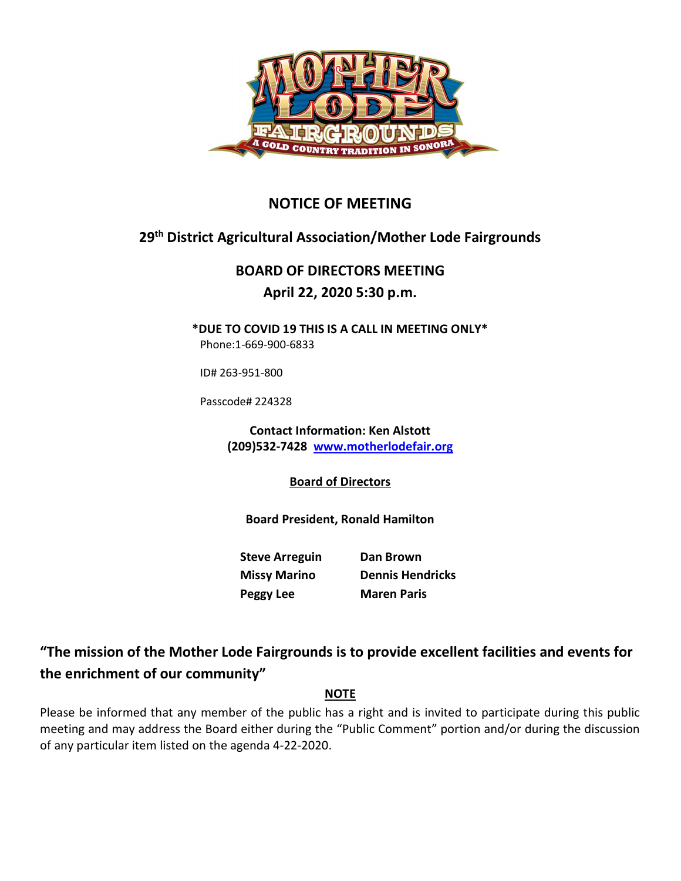

## NOTICE OF MEETING

# 29th District Agricultural Association/Mother Lode Fairgrounds

# BOARD OF DIRECTORS MEETING

### April 22, 2020 5:30 p.m.

\*DUE TO COVID 19 THIS IS A CALL IN MEETING ONLY\* Phone:1-669-900-6833

ID# 263-951-800

Passcode# 224328

Contact Information: Ken Alstott (209)532-7428 www.motherlodefair.org

Board of Directors

Board President, Ronald Hamilton

Steve Arreguin Dan Brown Missy Marino Dennis Hendricks Peggy Lee Maren Paris

## "The mission of the Mother Lode Fairgrounds is to provide excellent facilities and events for the enrichment of our community"

### NOTE

Please be informed that any member of the public has a right and is invited to participate during this public meeting and may address the Board either during the "Public Comment" portion and/or during the discussion of any particular item listed on the agenda 4-22-2020.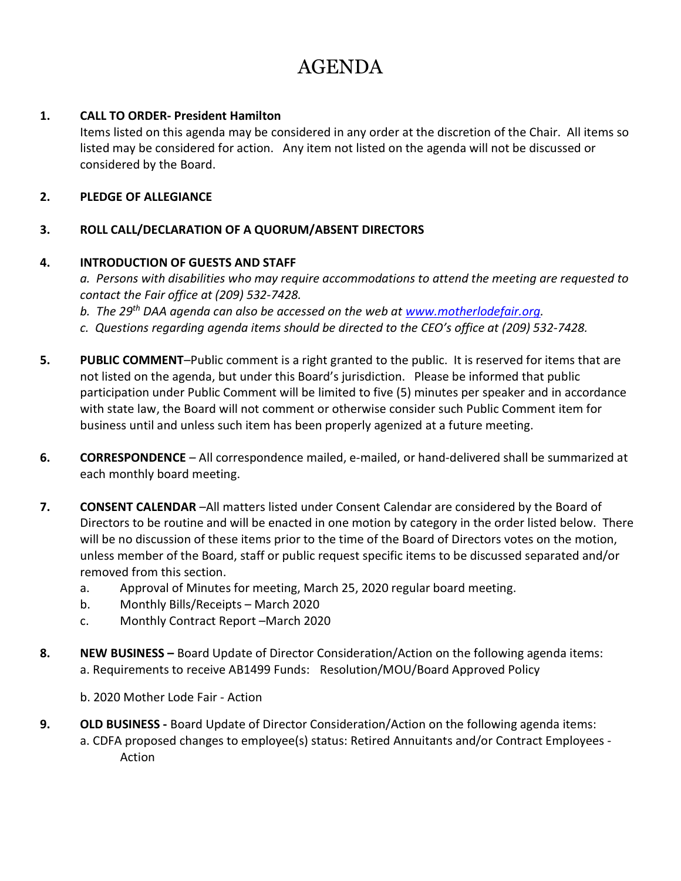# AGENDA

#### 1. CALL TO ORDER- President Hamilton

Items listed on this agenda may be considered in any order at the discretion of the Chair. All items so listed may be considered for action. Any item not listed on the agenda will not be discussed or considered by the Board.

#### 2. PLEDGE OF ALLEGIANCE

#### 3. ROLL CALL/DECLARATION OF A QUORUM/ABSENT DIRECTORS

#### 4. INTRODUCTION OF GUESTS AND STAFF

a. Persons with disabilities who may require accommodations to attend the meeting are requested to contact the Fair office at (209) 532-7428.

b. The 29<sup>th</sup> DAA agenda can also be accessed on the web at www.motherlodefair.org.

- c. Questions regarding agenda items should be directed to the CEO's office at (209) 532-7428.
- 5. PUBLIC COMMENT-Public comment is a right granted to the public. It is reserved for items that are not listed on the agenda, but under this Board's jurisdiction. Please be informed that public participation under Public Comment will be limited to five (5) minutes per speaker and in accordance with state law, the Board will not comment or otherwise consider such Public Comment item for business until and unless such item has been properly agenized at a future meeting.
- 6. CORRESPONDENCE All correspondence mailed, e-mailed, or hand-delivered shall be summarized at each monthly board meeting.
- 7. CONSENT CALENDAR –All matters listed under Consent Calendar are considered by the Board of Directors to be routine and will be enacted in one motion by category in the order listed below. There will be no discussion of these items prior to the time of the Board of Directors votes on the motion, unless member of the Board, staff or public request specific items to be discussed separated and/or removed from this section.
	- a. Approval of Minutes for meeting, March 25, 2020 regular board meeting.
	- b. Monthly Bills/Receipts March 2020
	- c. Monthly Contract Report –March 2020
- 8. NEW BUSINESS Board Update of Director Consideration/Action on the following agenda items: a. Requirements to receive AB1499 Funds: Resolution/MOU/Board Approved Policy
	- b. 2020 Mother Lode Fair Action
- 9. OLD BUSINESS Board Update of Director Consideration/Action on the following agenda items: a. CDFA proposed changes to employee(s) status: Retired Annuitants and/or Contract Employees - Action